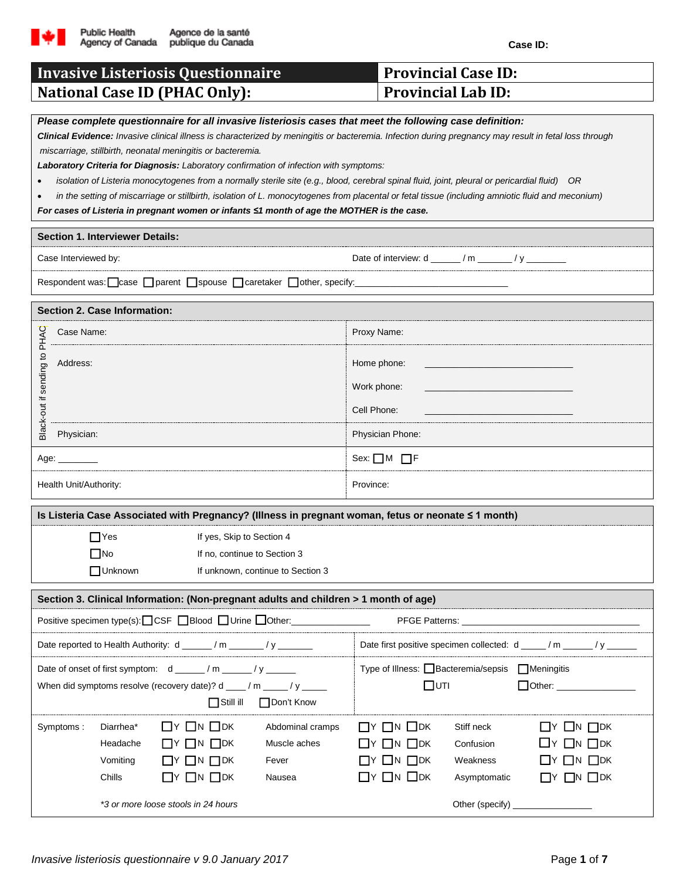

**Case ID:**

| <b>Invasive Listeriosis Questionnaire</b>                                                                                                                                                                                                                                                                                                                                                                                                                                                                                                                                                                                                                                                                                                                                                                                        | <b>Provincial Case ID:</b>                                                                                                                                                                                                                                                                                                                         |  |  |  |  |  |  |  |
|----------------------------------------------------------------------------------------------------------------------------------------------------------------------------------------------------------------------------------------------------------------------------------------------------------------------------------------------------------------------------------------------------------------------------------------------------------------------------------------------------------------------------------------------------------------------------------------------------------------------------------------------------------------------------------------------------------------------------------------------------------------------------------------------------------------------------------|----------------------------------------------------------------------------------------------------------------------------------------------------------------------------------------------------------------------------------------------------------------------------------------------------------------------------------------------------|--|--|--|--|--|--|--|
| <b>National Case ID (PHAC Only):</b>                                                                                                                                                                                                                                                                                                                                                                                                                                                                                                                                                                                                                                                                                                                                                                                             | <b>Provincial Lab ID:</b>                                                                                                                                                                                                                                                                                                                          |  |  |  |  |  |  |  |
| Please complete questionnaire for all invasive listeriosis cases that meet the following case definition:<br>Clinical Evidence: Invasive clinical illness is characterized by meningitis or bacteremia. Infection during pregnancy may result in fetal loss through<br>miscarriage, stillbirth, neonatal meningitis or bacteremia.<br>Laboratory Criteria for Diagnosis: Laboratory confirmation of infection with symptoms:<br>isolation of Listeria monocytogenes from a normally sterile site (e.g., blood, cerebral spinal fluid, joint, pleural or pericardial fluid) OR<br>in the setting of miscarriage or stillbirth, isolation of L. monocytogenes from placental or fetal tissue (including amniotic fluid and meconium)<br>For cases of Listeria in pregnant women or infants ≤1 month of age the MOTHER is the case. |                                                                                                                                                                                                                                                                                                                                                    |  |  |  |  |  |  |  |
| <b>Section 1. Interviewer Details:</b>                                                                                                                                                                                                                                                                                                                                                                                                                                                                                                                                                                                                                                                                                                                                                                                           |                                                                                                                                                                                                                                                                                                                                                    |  |  |  |  |  |  |  |
| Case Interviewed by:                                                                                                                                                                                                                                                                                                                                                                                                                                                                                                                                                                                                                                                                                                                                                                                                             |                                                                                                                                                                                                                                                                                                                                                    |  |  |  |  |  |  |  |
| Respondent was:  case   parent   spouse   caretaker   other, specify:                                                                                                                                                                                                                                                                                                                                                                                                                                                                                                                                                                                                                                                                                                                                                            |                                                                                                                                                                                                                                                                                                                                                    |  |  |  |  |  |  |  |
| Section 2. Case Information:                                                                                                                                                                                                                                                                                                                                                                                                                                                                                                                                                                                                                                                                                                                                                                                                     |                                                                                                                                                                                                                                                                                                                                                    |  |  |  |  |  |  |  |
| PHAC<br>Case Name:                                                                                                                                                                                                                                                                                                                                                                                                                                                                                                                                                                                                                                                                                                                                                                                                               | Proxy Name:                                                                                                                                                                                                                                                                                                                                        |  |  |  |  |  |  |  |
| Black-out if sending to<br>Address:                                                                                                                                                                                                                                                                                                                                                                                                                                                                                                                                                                                                                                                                                                                                                                                              | Home phone:<br>Work phone:                                                                                                                                                                                                                                                                                                                         |  |  |  |  |  |  |  |
|                                                                                                                                                                                                                                                                                                                                                                                                                                                                                                                                                                                                                                                                                                                                                                                                                                  | Cell Phone:                                                                                                                                                                                                                                                                                                                                        |  |  |  |  |  |  |  |
| Physician:                                                                                                                                                                                                                                                                                                                                                                                                                                                                                                                                                                                                                                                                                                                                                                                                                       | Physician Phone:                                                                                                                                                                                                                                                                                                                                   |  |  |  |  |  |  |  |
| Age: ________                                                                                                                                                                                                                                                                                                                                                                                                                                                                                                                                                                                                                                                                                                                                                                                                                    | Sex: $\Box$ M $\Box$ F                                                                                                                                                                                                                                                                                                                             |  |  |  |  |  |  |  |
| Health Unit/Authority:                                                                                                                                                                                                                                                                                                                                                                                                                                                                                                                                                                                                                                                                                                                                                                                                           | Province:                                                                                                                                                                                                                                                                                                                                          |  |  |  |  |  |  |  |
| Is Listeria Case Associated with Pregnancy? (Illness in pregnant woman, fetus or neonate ≤ 1 month)                                                                                                                                                                                                                                                                                                                                                                                                                                                                                                                                                                                                                                                                                                                              |                                                                                                                                                                                                                                                                                                                                                    |  |  |  |  |  |  |  |
| $\Box$ Yes<br>If yes, Skip to Section 4<br>$\square$ No<br>If no, continue to Section 3<br>□ Unknown<br>If unknown, continue to Section 3                                                                                                                                                                                                                                                                                                                                                                                                                                                                                                                                                                                                                                                                                        |                                                                                                                                                                                                                                                                                                                                                    |  |  |  |  |  |  |  |
| Section 3. Clinical Information: (Non-pregnant adults and children > 1 month of age)                                                                                                                                                                                                                                                                                                                                                                                                                                                                                                                                                                                                                                                                                                                                             |                                                                                                                                                                                                                                                                                                                                                    |  |  |  |  |  |  |  |
| Positive specimen type(s): CSF Blood Urine Other: ________________                                                                                                                                                                                                                                                                                                                                                                                                                                                                                                                                                                                                                                                                                                                                                               |                                                                                                                                                                                                                                                                                                                                                    |  |  |  |  |  |  |  |
| Date reported to Health Authority: d _____/m _____/y ______                                                                                                                                                                                                                                                                                                                                                                                                                                                                                                                                                                                                                                                                                                                                                                      |                                                                                                                                                                                                                                                                                                                                                    |  |  |  |  |  |  |  |
| Date of onset of first symptom: d _____/m ____/y _____<br>When did symptoms resolve (recovery date)? d ___/ m ____/ y ____<br>Don't Know<br>$\Box$ Still ill                                                                                                                                                                                                                                                                                                                                                                                                                                                                                                                                                                                                                                                                     | Type of Illness: □ Bacteremia/sepsis □ Meningitis<br>$\square$ UTI<br>Other: __________________                                                                                                                                                                                                                                                    |  |  |  |  |  |  |  |
| $\Box Y$ $\Box N$ $\Box$ DK<br>Diarrhea*<br>Abdominal cramps<br>Symptoms:<br>Headache<br>$\Box Y$ $\Box N$ $\Box$ DK<br>Muscle aches<br>Vomiting<br>$\Box Y$ $\Box N$ $\Box$ DK<br>Fever<br>$\Box Y$ $\Box N$ $\Box$ DK<br>Chills<br>Nausea<br>*3 or more loose stools in 24 hours                                                                                                                                                                                                                                                                                                                                                                                                                                                                                                                                               | $\Box Y$ $\Box N$ $\Box$ DK<br>$\Box Y$ $\Box N$ $\Box$ DK<br>Stiff neck<br>$\Box Y$ $\Box N$ $\Box$ DK<br>$\Box$ Y $\Box$ N $\Box$ DK<br>Confusion<br>$\Box Y$ $\Box N$ $\Box$ DK<br>$\Box Y$ $\Box N$ $\Box$ DK<br>Weakness<br>$\Box$ Y $\Box$ N $\Box$ DK<br>$\Box Y$ $\Box N$ $\Box$ DK<br>Asymptomatic<br>Other (specify) ___________________ |  |  |  |  |  |  |  |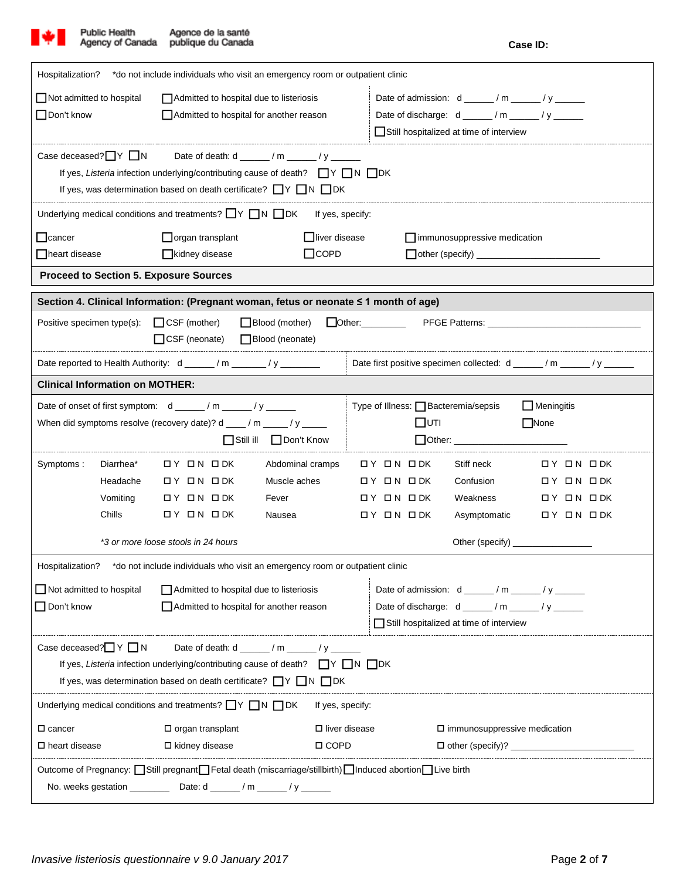

| Hospitalization?                                                                                                                                                                        |                                                                              | *do not include individuals who visit an emergency room or outpatient clinic         |                         |                                              |                                                                 |                   |  |  |  |
|-----------------------------------------------------------------------------------------------------------------------------------------------------------------------------------------|------------------------------------------------------------------------------|--------------------------------------------------------------------------------------|-------------------------|----------------------------------------------|-----------------------------------------------------------------|-------------------|--|--|--|
| Not admitted to hospital<br>Admitted to hospital due to listeriosis                                                                                                                     |                                                                              |                                                                                      |                         | Date of admission: $d$ _____/m _____/y _____ |                                                                 |                   |  |  |  |
| $\Box$ Don't know                                                                                                                                                                       | Admitted to hospital for another reason                                      |                                                                                      |                         | Date of discharge: d _____/m _____/y _____   |                                                                 |                   |  |  |  |
|                                                                                                                                                                                         |                                                                              |                                                                                      |                         |                                              | Still hospitalized at time of interview                         |                   |  |  |  |
| Case deceased? $\Box Y \Box N$ Date of death: d _____/m _____/y ______                                                                                                                  |                                                                              |                                                                                      |                         |                                              |                                                                 |                   |  |  |  |
|                                                                                                                                                                                         | If yes, Listeria infection underlying/contributing cause of death? ■Y ■N ■DK |                                                                                      |                         |                                              |                                                                 |                   |  |  |  |
|                                                                                                                                                                                         |                                                                              | If yes, was determination based on death certificate? $\Box Y \Box N \Box DK$        |                         |                                              |                                                                 |                   |  |  |  |
|                                                                                                                                                                                         |                                                                              | Underlying medical conditions and treatments? $\Box Y \Box N \Box DK$                | If yes, specify:        |                                              |                                                                 |                   |  |  |  |
| $\Box$ cancer                                                                                                                                                                           |                                                                              | organ transplant                                                                     | $\Box$ liver disease    |                                              | $\Box$ immunosuppressive medication                             |                   |  |  |  |
| □ heart disease                                                                                                                                                                         |                                                                              | kidney disease                                                                       | $\Box$ COPD             |                                              |                                                                 |                   |  |  |  |
|                                                                                                                                                                                         |                                                                              | <b>Proceed to Section 5. Exposure Sources</b>                                        |                         |                                              |                                                                 |                   |  |  |  |
|                                                                                                                                                                                         |                                                                              | Section 4. Clinical Information: (Pregnant woman, fetus or neonate ≤ 1 month of age) |                         |                                              |                                                                 |                   |  |  |  |
|                                                                                                                                                                                         |                                                                              | Positive specimen type(s): $\Box$ CSF (mother)                                       | $\Box$ Blood (mother)   | Other:                                       |                                                                 |                   |  |  |  |
|                                                                                                                                                                                         |                                                                              | $\Box$ CSF (neonate)                                                                 | □ Blood (neonate)       |                                              |                                                                 |                   |  |  |  |
|                                                                                                                                                                                         |                                                                              | Date reported to Health Authority: d _____/m _____/y _______                         |                         |                                              | Date first positive specimen collected: d _____/m _____/y _____ |                   |  |  |  |
| <b>Clinical Information on MOTHER:</b>                                                                                                                                                  |                                                                              |                                                                                      |                         |                                              |                                                                 |                   |  |  |  |
|                                                                                                                                                                                         |                                                                              | Date of onset of first symptom: $d \_ / m \_ / y \_$                                 |                         |                                              | Type of Illness: Bacteremia/sepsis                              | $\Box$ Meningitis |  |  |  |
|                                                                                                                                                                                         |                                                                              | When did symptoms resolve (recovery date)? d ____ / m _____ / y _____                |                         |                                              | $\square$ UTI                                                   | None              |  |  |  |
|                                                                                                                                                                                         |                                                                              | $\Box$ Still ill                                                                     | Don't Know              |                                              |                                                                 |                   |  |  |  |
| Symptoms:                                                                                                                                                                               | Diarrhea*                                                                    | OY ON ODK                                                                            | Abdominal cramps        | $DY$ ON ODK                                  | Stiff neck                                                      | אסם אם Yם         |  |  |  |
|                                                                                                                                                                                         | Headache                                                                     | OY ON ODK                                                                            | Muscle aches            | OY ON ODK                                    | Confusion                                                       | OY ON ODK         |  |  |  |
|                                                                                                                                                                                         | Vomiting                                                                     | אסם אם Yם                                                                            | Fever                   | OY ON ODK                                    | Weakness                                                        | OY ON ODK         |  |  |  |
|                                                                                                                                                                                         | Chills                                                                       | $DY$ ON ODK                                                                          | Nausea                  | OY ON ODK                                    | Asymptomatic                                                    | OY ON ODK         |  |  |  |
| *3 or more loose stools in 24 hours                                                                                                                                                     |                                                                              |                                                                                      |                         |                                              |                                                                 |                   |  |  |  |
| Hospitalization?                                                                                                                                                                        |                                                                              | *do not include individuals who visit an emergency room or outpatient clinic         |                         |                                              |                                                                 |                   |  |  |  |
| $\Box$ Not admitted to hospital                                                                                                                                                         |                                                                              | Admitted to hospital due to listeriosis                                              |                         |                                              | Date of admission: $d$ _____/m _____/y ______                   |                   |  |  |  |
| $\Box$ Don't know                                                                                                                                                                       |                                                                              | Admitted to hospital for another reason                                              |                         | Date of discharge: d _____/m _____/y ______  |                                                                 |                   |  |  |  |
|                                                                                                                                                                                         |                                                                              |                                                                                      |                         |                                              | Still hospitalized at time of interview                         |                   |  |  |  |
|                                                                                                                                                                                         |                                                                              |                                                                                      |                         |                                              |                                                                 |                   |  |  |  |
| Case deceased? $\Box$ Y $\Box$ N<br>Date of death: $d$ ______ / m _____ / y _____<br>If yes, Listeria infection underlying/contributing cause of death? $\Box Y \Box N \Box DK$         |                                                                              |                                                                                      |                         |                                              |                                                                 |                   |  |  |  |
| If yes, was determination based on death certificate? $\Box Y \Box N \Box DK$                                                                                                           |                                                                              |                                                                                      |                         |                                              |                                                                 |                   |  |  |  |
| Underlying medical conditions and treatments? $\Box Y \Box N \Box DK$<br>If yes, specify:                                                                                               |                                                                              |                                                                                      |                         |                                              |                                                                 |                   |  |  |  |
| $\square$ cancer                                                                                                                                                                        |                                                                              | $\Box$ organ transplant                                                              | $\square$ liver disease | $\square$ immunosuppressive medication       |                                                                 |                   |  |  |  |
| $\square$ heart disease                                                                                                                                                                 |                                                                              | $\Box$ kidney disease                                                                | □ COPD                  |                                              |                                                                 |                   |  |  |  |
|                                                                                                                                                                                         |                                                                              |                                                                                      |                         |                                              |                                                                 |                   |  |  |  |
| Outcome of Pregnancy: Still pregnant Fetal death (miscarriage/stillbirth) Induced abortion Live birth<br>No. weeks gestation _________________Date: d ________ / m _______ / y ________ |                                                                              |                                                                                      |                         |                                              |                                                                 |                   |  |  |  |
|                                                                                                                                                                                         |                                                                              |                                                                                      |                         |                                              |                                                                 |                   |  |  |  |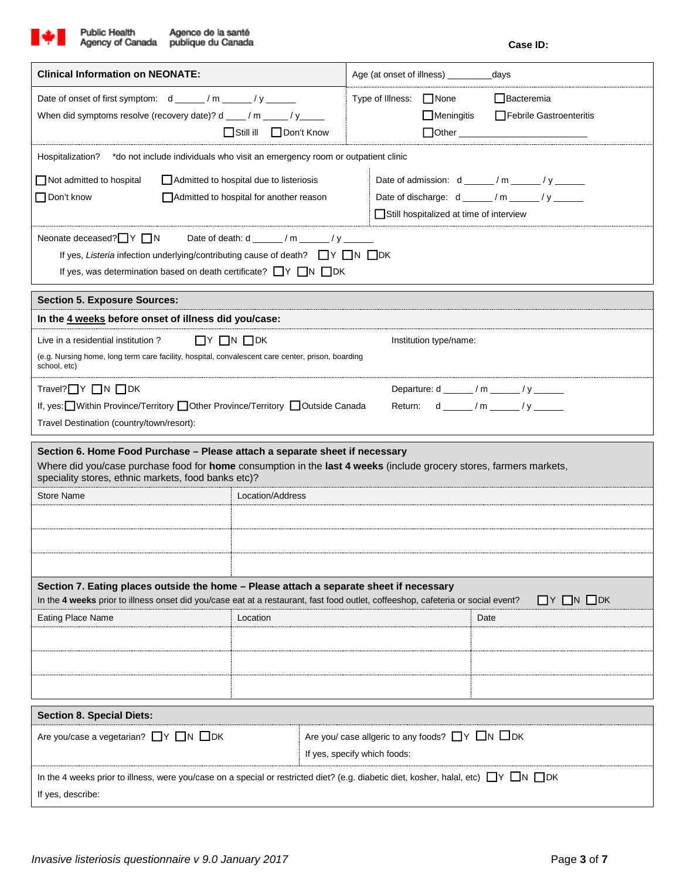

| <b>Clinical Information on NEONATE:</b>                                                                                                                                                                                                                    |                                                                                                                                         | Age (at onset of illness) ______<br>days |                   |                                                                                                                                                                                                                                                                                       |  |  |  |  |  |
|------------------------------------------------------------------------------------------------------------------------------------------------------------------------------------------------------------------------------------------------------------|-----------------------------------------------------------------------------------------------------------------------------------------|------------------------------------------|-------------------|---------------------------------------------------------------------------------------------------------------------------------------------------------------------------------------------------------------------------------------------------------------------------------------|--|--|--|--|--|
| Date of onset of first symptom: d _____/m _____/y _____<br>When did symptoms resolve (recovery date)? d ___/ m ___/ y____<br>Still ill Don't Know                                                                                                          |                                                                                                                                         | Type of Illness: □ None                  | $\Box$ Meningitis | $\Box$ Bacteremia<br><b>Febrile Gastroenteritis</b><br>Other Communication of the Communication of the Communication of the Communication of the Communication of the Communication of the Communication of the Communication of the Communication of the Communication of the Commun |  |  |  |  |  |
| *do not include individuals who visit an emergency room or outpatient clinic<br>Hospitalization?                                                                                                                                                           |                                                                                                                                         |                                          |                   |                                                                                                                                                                                                                                                                                       |  |  |  |  |  |
| $\Box$ Not admitted to hospital<br>Admitted to hospital due to listeriosis<br>Don't know<br>$\Box$ Admitted to hospital for another reason                                                                                                                 | Date of admission: $d$ _____/m _____/y _____<br>Date of discharge: $d$ _____/m _____/y _____<br>Still hospitalized at time of interview |                                          |                   |                                                                                                                                                                                                                                                                                       |  |  |  |  |  |
| Neonate deceased?<br>■ Y ■ N<br>Date of death: d ______/ m _____/ y _____<br>If yes, Listeria infection underlying/contributing cause of death? $\Box Y \Box N \Box DK$<br>If yes, was determination based on death certificate? $\Box Y \Box N \Box DK$   |                                                                                                                                         |                                          |                   |                                                                                                                                                                                                                                                                                       |  |  |  |  |  |
| <b>Section 5. Exposure Sources:</b>                                                                                                                                                                                                                        |                                                                                                                                         |                                          |                   |                                                                                                                                                                                                                                                                                       |  |  |  |  |  |
| In the 4 weeks before onset of illness did you/case:                                                                                                                                                                                                       |                                                                                                                                         |                                          |                   |                                                                                                                                                                                                                                                                                       |  |  |  |  |  |
| $\Box$ Y $\Box$ N $\Box$ DK<br>Live in a residential institution?<br>Institution type/name:<br>(e.g. Nursing home, long term care facility, hospital, convalescent care center, prison, boarding<br>school, etc)                                           |                                                                                                                                         |                                          |                   |                                                                                                                                                                                                                                                                                       |  |  |  |  |  |
| Travel? $\Box Y$ $\Box N$ $\Box DK$<br>Departure: d ______ / m ______ / y ______<br>If, yes: Vithin Province/Territory Other Province/Territory Outside Canada<br>Return: d _____ / m _____ / y _____<br>Travel Destination (country/town/resort):         |                                                                                                                                         |                                          |                   |                                                                                                                                                                                                                                                                                       |  |  |  |  |  |
| Section 6. Home Food Purchase - Please attach a separate sheet if necessary<br>Where did you/case purchase food for home consumption in the last 4 weeks (include grocery stores, farmers markets,<br>speciality stores, ethnic markets, food banks etc)?  |                                                                                                                                         |                                          |                   |                                                                                                                                                                                                                                                                                       |  |  |  |  |  |
| Store Name<br>Location/Address                                                                                                                                                                                                                             |                                                                                                                                         |                                          |                   |                                                                                                                                                                                                                                                                                       |  |  |  |  |  |
|                                                                                                                                                                                                                                                            |                                                                                                                                         |                                          |                   |                                                                                                                                                                                                                                                                                       |  |  |  |  |  |
| Section 7. Eating places outside the home - Please attach a separate sheet if necessary<br>$\Box$ Y $\Box$ N $\Box$ DK<br>In the 4 weeks prior to illness onset did you/case eat at a restaurant, fast food outlet, coffeeshop, cafeteria or social event? |                                                                                                                                         |                                          |                   |                                                                                                                                                                                                                                                                                       |  |  |  |  |  |
| <b>Eating Place Name</b><br>Location                                                                                                                                                                                                                       |                                                                                                                                         |                                          |                   | Date                                                                                                                                                                                                                                                                                  |  |  |  |  |  |
|                                                                                                                                                                                                                                                            |                                                                                                                                         |                                          |                   |                                                                                                                                                                                                                                                                                       |  |  |  |  |  |
|                                                                                                                                                                                                                                                            |                                                                                                                                         |                                          |                   |                                                                                                                                                                                                                                                                                       |  |  |  |  |  |
| <b>Section 8. Special Diets:</b>                                                                                                                                                                                                                           |                                                                                                                                         |                                          |                   |                                                                                                                                                                                                                                                                                       |  |  |  |  |  |
| Are you/case a vegetarian? $\Box Y \Box N \Box DK$<br>Are you/ case allgeric to any foods? $\Box Y \Box N \Box DK$<br>If yes, specify which foods:                                                                                                         |                                                                                                                                         |                                          |                   |                                                                                                                                                                                                                                                                                       |  |  |  |  |  |
| In the 4 weeks prior to illness, were you/case on a special or restricted diet? (e.g. diabetic diet, kosher, halal, etc) $\Box Y \Box N \Box DK$<br>If yes, describe:                                                                                      |                                                                                                                                         |                                          |                   |                                                                                                                                                                                                                                                                                       |  |  |  |  |  |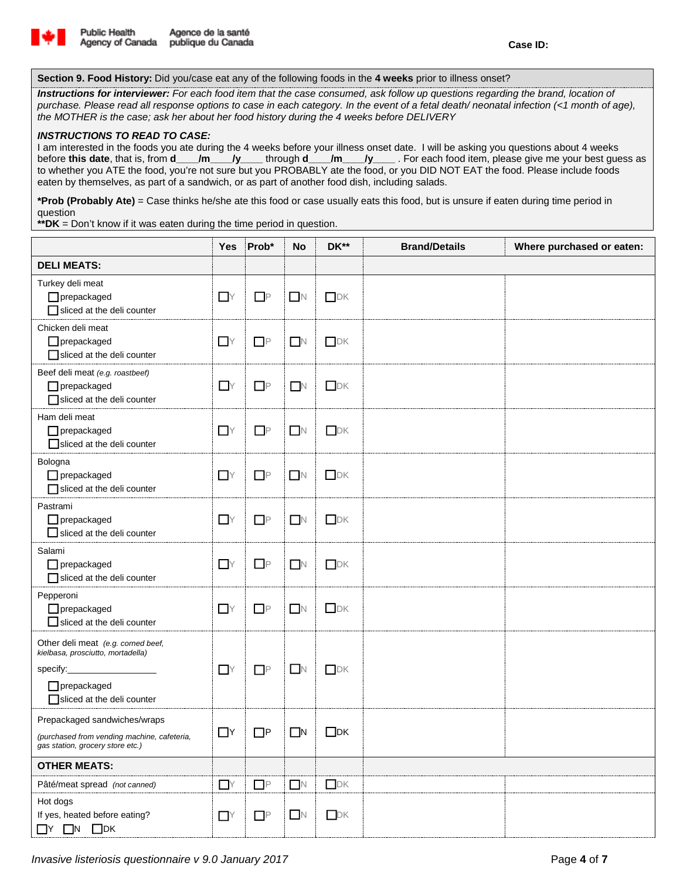

**Section 9. Food History:** Did you/case eat any of the following foods in the **4 weeks** prior to illness onset?

*Instructions for interviewer: For each food item that the case consumed, ask follow up questions regarding the brand, location of purchase. Please read all response options to case in each category. In the event of a fetal death/ neonatal infection (<1 month of age), the MOTHER is the case; ask her about her food history during the 4 weeks before DELIVERY*

## *INSTRUCTIONS TO READ TO CASE:*

I am interested in the foods you ate during the 4 weeks before your illness onset date. I will be asking you questions about 4 weeks before **this date**, that is, from **d\_\_\_\_/m\_\_\_\_/y\_\_\_\_** through **d\_\_\_\_/m\_\_\_\_/y\_\_\_\_** . For each food item, please give me your best guess as to whether you ATE the food, you're not sure but you PROBABLY ate the food, or you DID NOT EAT the food. Please include foods eaten by themselves, as part of a sandwich, or as part of another food dish, including salads.

**\*Prob (Probably Ate)** = Case thinks he/she ate this food or case usually eats this food, but is unsure if eaten during time period in question

**\*\*DK** = Don't know if it was eaten during the time period in question.

|                                                                                                                                         | Yes            | Prob*    | No             | DK**                                    | <b>Brand/Details</b> | Where purchased or eaten: |
|-----------------------------------------------------------------------------------------------------------------------------------------|----------------|----------|----------------|-----------------------------------------|----------------------|---------------------------|
| <b>DELI MEATS:</b>                                                                                                                      |                |          |                |                                         |                      |                           |
| Turkey deli meat<br>$\Box$ prepackaged<br>sliced at the deli counter                                                                    | $\mathsf{Y}$   | $\Box$ P | $\blacksquare$ | DK                                      |                      |                           |
| Chicken deli meat<br>$\Box$ prepackaged<br>sliced at the deli counter                                                                   | $\mathsf{Y}$   | $\Box$ P | $\blacksquare$ | $\Box$ DK                               |                      |                           |
| Beef deli meat (e.g. roastbeef)<br>$\Box$ prepackaged<br>sliced at the deli counter                                                     | $\mathsf{Y}$   | $\Box P$ | N              | DK                                      |                      |                           |
| Ham deli meat<br>$\Box$ prepackaged<br>sliced at the deli counter                                                                       | $\mathsf{Y}$   | $\Box P$ | $\blacksquare$ | DK                                      |                      |                           |
| Bologna<br>$\Box$ prepackaged<br>sliced at the deli counter                                                                             | $\mathsf{Y}$   | $\Box P$ | $\blacksquare$ | DK                                      |                      |                           |
| Pastrami<br>$\Box$ prepackaged<br>$\Box$ sliced at the deli counter                                                                     | $\mathsf{Y}$   | $\Box$ P | $\Box$         | DK                                      |                      |                           |
| Salami<br>$\Box$ prepackaged<br>sliced at the deli counter                                                                              | $\Gamma$       | $\Box$ P | $\Box$ N       | DK                                      |                      |                           |
| Pepperoni<br>$\Box$ prepackaged<br>sliced at the deli counter                                                                           | $\Box$ Y       | $\Box$ P | $\blacksquare$ | DK                                      |                      |                           |
| Other deli meat (e.g. corned beef,<br>kielbasa, prosciutto, mortadella)<br>specify:<br>$\Box$ prepackaged<br>Sliced at the deli counter | $\Gamma$       | $\Box P$ | $\blacksquare$ | DK                                      |                      |                           |
| Prepackaged sandwiches/wraps<br>(purchased from vending machine, cafeteria,<br>gas station, grocery store etc.)                         | $\Box$ Y       | $\Box$ P | $\Box$ N       | $\Box$ DK                               |                      |                           |
| <b>OTHER MEATS:</b>                                                                                                                     |                |          |                |                                         |                      |                           |
| Pâté/meat spread (not canned)                                                                                                           | $\mathsf{Y}$   | $\Box P$ | N              | $\hfill\ensuremath{\square\textrm{DK}}$ |                      |                           |
| Hot dogs<br>If yes, heated before eating?<br>$\Box Y$ $\Box N$ $\Box DK$                                                                | $\mathsf{T}$ Y | $\Box$ P | $\Box$ N       | DK                                      |                      |                           |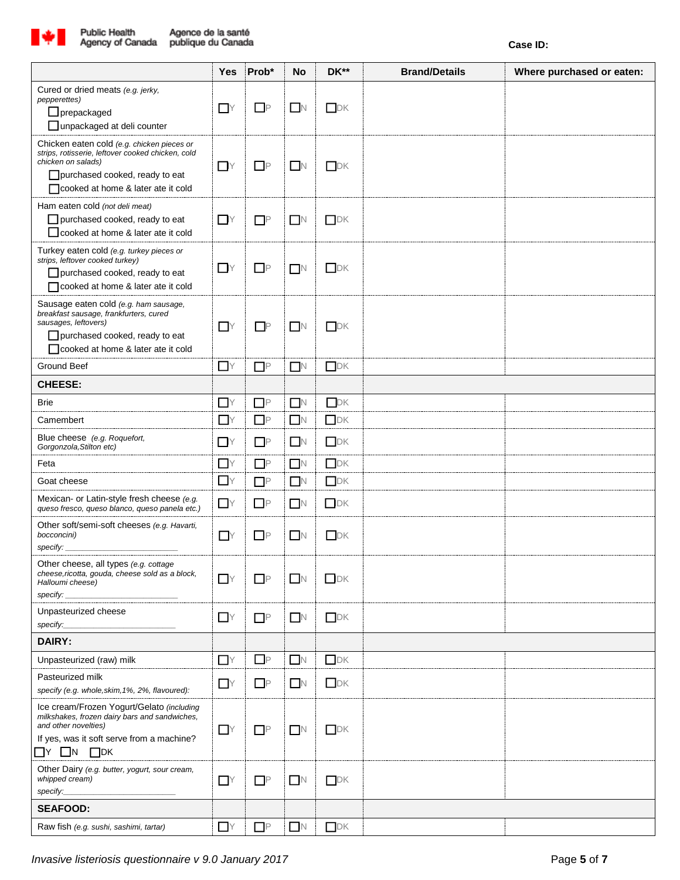

|                                                                                                                                                                                                  | <b>Yes</b>     | Prob*    | <b>No</b>      | DK**      | <b>Brand/Details</b> | Where purchased or eaten: |
|--------------------------------------------------------------------------------------------------------------------------------------------------------------------------------------------------|----------------|----------|----------------|-----------|----------------------|---------------------------|
| Cured or dried meats (e.g. jerky,<br><i>pepperettes)</i><br>$\Box$ prepackaged<br>□ unpackaged at deli counter                                                                                   | $\Box$ Y       | $\Box$ P | $\Box$ N       | DK        |                      |                           |
| Chicken eaten cold (e.g. chicken pieces or<br>strips, rotisserie, leftover cooked chicken, cold<br>chicken on salads)<br>purchased cooked, ready to eat<br>□ cooked at home & later ate it cold  | $\Box$ Y       | $\Box$ P | $\Box$ N       | DK        |                      |                           |
| Ham eaten cold (not deli meat)<br>purchased cooked, ready to eat<br>□ cooked at home & later ate it cold                                                                                         | $\Box Y$       | $\Box P$ | $\Box$         | $\Box$ DK |                      |                           |
| Turkey eaten cold (e.g. turkey pieces or<br>strips, leftover cooked turkey)<br>$\Box$ purchased cooked, ready to eat<br>cooked at home & later ate it cold                                       | $\Box Y$       | $\Box P$ | $\blacksquare$ | DK        |                      |                           |
| Sausage eaten cold (e.g. ham sausage,<br>breakfast sausage, frankfurters, cured<br>sausages, leftovers)<br>purchased cooked, ready to eat<br>□ cooked at home & later ate it cold                | $\Gamma$       | $\Box$ P | $\Box N$       | DK        |                      |                           |
| Ground Beef                                                                                                                                                                                      | $\mathsf{Y}$   | $\Box P$ | $\Box$         | DK        |                      |                           |
| <b>CHEESE:</b>                                                                                                                                                                                   |                |          |                |           |                      |                           |
| <b>Brie</b>                                                                                                                                                                                      | $\Gamma$ Y     | $\Box P$ | N              | DK        |                      |                           |
| Camembert                                                                                                                                                                                        | $\mathsf{L}$ Y | $\Box P$ | $\Box$         | DK        |                      |                           |
| Blue cheese (e.g. Roquefort,<br>Gorgonzola, Stilton etc)                                                                                                                                         | $\Box$ Y       | $\Box$ P | $\Box$ N       | DK        |                      |                           |
| Feta                                                                                                                                                                                             | $\Gamma$       | $\Box P$ | $\Box$         | DK        |                      |                           |
| Goat cheese                                                                                                                                                                                      | $\Box$ Y       | $\Box P$ | $\Box$ N       | DK        |                      |                           |
| Mexican- or Latin-style fresh cheese (e.g.<br>queso fresco, queso blanco, queso panela etc.)                                                                                                     | $\Gamma$ Y     | $\Box P$ | $\Box$         | $\Box$ DK |                      |                           |
| Other soft/semi-soft cheeses (e.g. Havarti,<br>bocconcini)<br>specify:                                                                                                                           | $\Box$ Y       | $\Box P$ | $\Box$ N       | <b>DK</b> |                      |                           |
| Other cheese, all types (e.g. cottage<br>cheese, ricotta, gouda, cheese sold as a block,<br>Halloumi cheese)<br>specify:                                                                         | $\Gamma$ Y     | $\Box$ P | $\Box$ N       | $\Box$ DK |                      |                           |
| Unpasteurized cheese<br>specify:                                                                                                                                                                 | $\mathsf{Y}$   | $\Box P$ | N              | DK        |                      |                           |
| DAIRY:                                                                                                                                                                                           |                |          |                |           |                      |                           |
| Unpasteurized (raw) milk                                                                                                                                                                         | $\Box$ Y       | $\Box$ P | $\Box$         | DK        |                      |                           |
| Pasteurized milk<br>specify (e.g. whole, skim, 1%, 2%, flavoured):                                                                                                                               | $\mathsf{T}$   | $\Box P$ | N              | DK        |                      |                           |
| Ice cream/Frozen Yogurt/Gelato (including<br>milkshakes, frozen dairy bars and sandwiches,<br>and other novelties)<br>If yes, was it soft serve from a machine?<br>$\Box N$<br>$\Box$ DK<br>NT N | $\mathsf{Y}$   | $\Box$ P | $\blacksquare$ | DK        |                      |                           |
| Other Dairy (e.g. butter, yogurt, sour cream,<br>whipped cream)<br>specify:                                                                                                                      | <b>I</b> Y     | $\Box$ P | $\Box$         | DK        |                      |                           |
| <b>SEAFOOD:</b>                                                                                                                                                                                  |                |          |                |           |                      |                           |
| Raw fish (e.g. sushi, sashimi, tartar)                                                                                                                                                           | $\Gamma$ Y     | $\Box$ P | $\Box$ N       | DK        |                      |                           |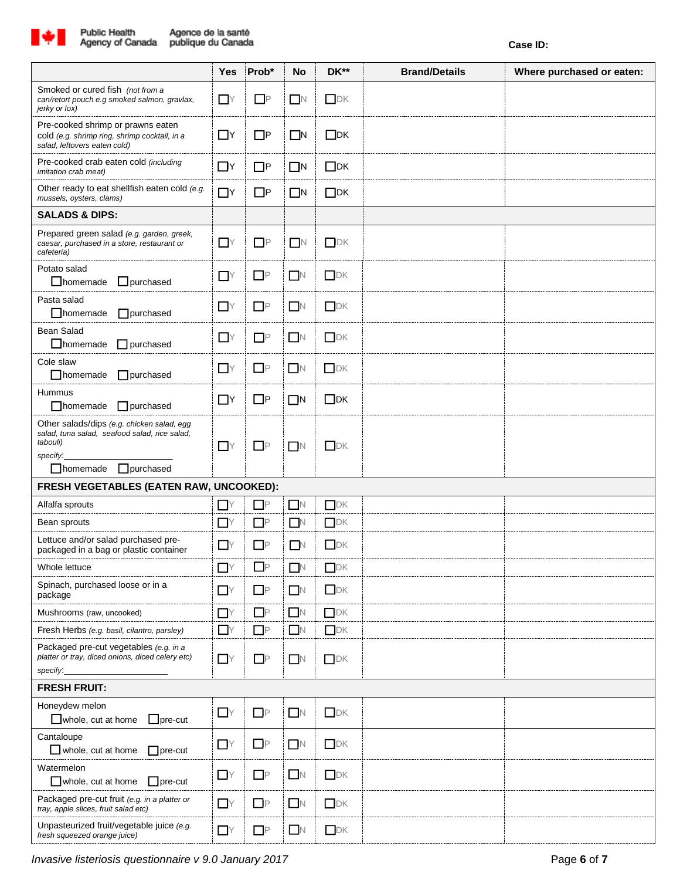

|                                                                                                                                                            | Yes                        | Prob*    | No          | DK**                 | <b>Brand/Details</b> | Where purchased or eaten: |  |  |
|------------------------------------------------------------------------------------------------------------------------------------------------------------|----------------------------|----------|-------------|----------------------|----------------------|---------------------------|--|--|
| Smoked or cured fish (not from a<br>can/retort pouch e.g smoked salmon, gravlax,<br>jerky or lox)                                                          | $\overline{\phantom{a}}$ Y | $\Box$ P | $\Box$      | $\Box$ DK            |                      |                           |  |  |
| Pre-cooked shrimp or prawns eaten<br>cold (e.g. shrimp ring, shrimp cocktail, in a<br>salad, leftovers eaten cold)                                         | $\Box$ Y                   | $\Box$ P | $\square$ N | $\Box$ DK            |                      |                           |  |  |
| Pre-cooked crab eaten cold (including<br><i>imitation crab meat)</i>                                                                                       | $\Box$ Y                   | $\Box$ P | $\Box$ N    | $\Box$ DK            |                      |                           |  |  |
| Other ready to eat shellfish eaten cold (e.g.<br>mussels, oysters, clams)                                                                                  | $\Box$ Y                   | $\Box$ P | $\Box$ N    | $\Box$ DK            |                      |                           |  |  |
| <b>SALADS &amp; DIPS:</b>                                                                                                                                  |                            |          |             |                      |                      |                           |  |  |
| Prepared green salad (e.g. garden, greek,<br>caesar, purchased in a store, restaurant or<br>cafeteria)                                                     | $\Gamma$ Y                 | $\Box P$ | $\Box N$    | $\Box$ DK            |                      |                           |  |  |
| Potato salad<br>$\Box$ homemade<br>$\Box$ purchased                                                                                                        | $\Box$ Y                   | $\Box P$ | $\Box N$    | DK                   |                      |                           |  |  |
| Pasta salad<br>$\Box$ homemade<br>$\Box$ purchased                                                                                                         | $\mathsf{I}$ Y             | $\Box P$ | N           | DK                   |                      |                           |  |  |
| <b>Bean Salad</b><br>$\Box$ homemade<br>$\Box$ purchased                                                                                                   | $\mathsf{Y}$               | $\Box$ P | $\Box N$    | $\Box$ DK            |                      |                           |  |  |
| Cole slaw<br>$\Box$ homemade<br>$\Box$ purchased                                                                                                           | $\mathsf{Y}$               | $\Box P$ | $\Box N$    | $\Box$ DK            |                      |                           |  |  |
| Hummus<br>$\Box$ homemade<br>$\Box$ purchased                                                                                                              | $\Box$ Y                   | $\Box$ P | $\Box$ N    | $\Box$ DK            |                      |                           |  |  |
| Other salads/dips (e.g. chicken salad, egg<br>salad, tuna salad, seafood salad, rice salad,<br>tabouli)<br>specify.<br>$\Box$ purchased<br>$\Box$ homemade | $\mathsf{Y}$               | $\Box P$ | $\Box N$    | $D$ K                |                      |                           |  |  |
| FRESH VEGETABLES (EATEN RAW, UNCOOKED):                                                                                                                    |                            |          |             |                      |                      |                           |  |  |
| Alfalfa sprouts                                                                                                                                            | <b>I</b> Y                 | $\Box$ P | $\Box$ N    | DK                   |                      |                           |  |  |
| Bean sprouts                                                                                                                                               | $\Box$ Y                   | $\Box$ P | $\Box$ N    | $\Box$ DK            |                      |                           |  |  |
| Lettuce and/or salad purchased pre-<br>packaged in a bag or plastic container                                                                              | $\Box$ Y                   | $\Box$ P | $\Box$ N    | DK                   |                      |                           |  |  |
| Whole lettuce                                                                                                                                              | $\Box$ Y                   | $\Box$ P | $\Box$      | DK                   |                      |                           |  |  |
| Spinach, purchased loose or in a<br>package                                                                                                                | $-Y$                       | $\Box P$ | $\Box$ N    | DK                   |                      |                           |  |  |
| Mushrooms (raw, uncooked)                                                                                                                                  | $\mathsf{Y}$               | $\Box P$ | $\Box$ N    | $\hfill\textsf{IDK}$ |                      |                           |  |  |
| Fresh Herbs (e.g. basil, cilantro, parsley)                                                                                                                | $\mathsf{Y}$               | $\Box P$ | $\Box N$    | $\Box$ DK            |                      |                           |  |  |
| Packaged pre-cut vegetables (e.g. in a<br>platter or tray, diced onions, diced celery etc)<br>specify.                                                     | $\mathsf{T}$ Y             | $\Box$ P | $\Box$ N    | $\Box$ DK            |                      |                           |  |  |
| <b>FRESH FRUIT:</b>                                                                                                                                        |                            |          |             |                      |                      |                           |  |  |
| Honeydew melon<br>$\Box$ whole, cut at home<br>$\Box$ pre-cut                                                                                              | $\mathsf{Y}$               | $\Box P$ | $\Box N$    | $\Box$ DK            |                      |                           |  |  |
| Cantaloupe<br>$\Box$ whole, cut at home<br>$\Box$ pre-cut                                                                                                  | $\Box$ Y                   | $\Box P$ | $\Box N$    | $\Box$ DK            |                      |                           |  |  |
| Watermelon<br>$\Box$ whole, cut at home<br>$\Box$ pre-cut                                                                                                  | $\mathsf{I}$               | $\Box$ P | $\Box N$    | DK                   |                      |                           |  |  |
| Packaged pre-cut fruit (e.g. in a platter or<br>tray, apple slices, fruit salad etc)                                                                       | $-Y$                       | $\Box P$ | $\Box N$    | DK                   |                      |                           |  |  |
| Unpasteurized fruit/vegetable juice (e.g.<br>fresh squeezed orange juice)                                                                                  | $\mathsf{T}$ Y             | $\Box$ P | $\Box N$    | DK                   |                      |                           |  |  |